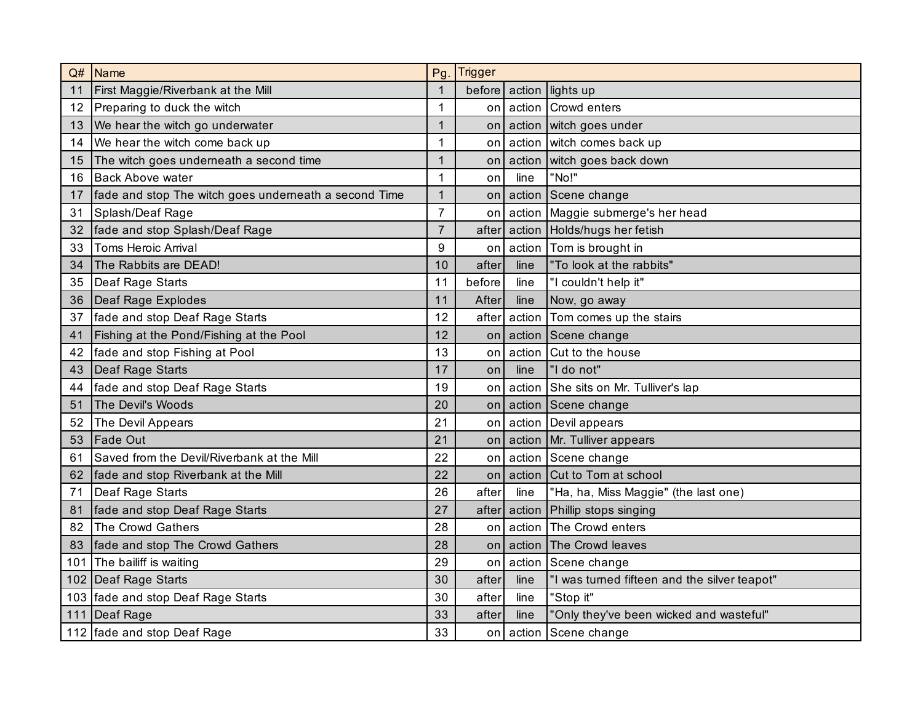| Q#  | <b>Name</b>                                           | Pg             | <b>Trigger</b> |              |                                              |  |  |
|-----|-------------------------------------------------------|----------------|----------------|--------------|----------------------------------------------|--|--|
| 11  | First Maggie/Riverbank at the Mill                    | $\mathbf 1$    | before         | action       | lights up                                    |  |  |
| 12  | Preparing to duck the witch                           | 1              | on             | action       | Crowd enters                                 |  |  |
| 13  | We hear the witch go underwater                       | 1              | on             | action       | witch goes under                             |  |  |
| 14  | We hear the witch come back up                        | 1              | on             | action       | witch comes back up                          |  |  |
| 15  | The witch goes underneath a second time               | 1              | on             | action       | witch goes back down                         |  |  |
| 16  | <b>Back Above water</b>                               | $\mathbf{1}$   | on             | line         | "No!"                                        |  |  |
| 17  | fade and stop The witch goes underneath a second Time | $\mathbf{1}$   | on             | action       | Scene change                                 |  |  |
| 31  | Splash/Deaf Rage                                      | $\overline{7}$ | on             | action       | Maggie submerge's her head                   |  |  |
| 32  | fade and stop Splash/Deaf Rage                        | $\overline{7}$ | after          | action       | Holds/hugs her fetish                        |  |  |
| 33  | <b>Toms Heroic Arrival</b>                            | 9              | on             | action       | Tom is brought in                            |  |  |
| 34  | The Rabbits are DEAD!                                 | 10             | after          | line         | "To look at the rabbits"                     |  |  |
| 35  | Deaf Rage Starts                                      | 11             | before         | line         | "I couldn't help it"                         |  |  |
| 36  | Deaf Rage Explodes                                    | 11             | After          | line         | Now, go away                                 |  |  |
| 37  | fade and stop Deaf Rage Starts                        | 12             | after          | action       | Tom comes up the stairs                      |  |  |
| 41  | Fishing at the Pond/Fishing at the Pool               | 12             | on             | action       | Scene change                                 |  |  |
| 42  | fade and stop Fishing at Pool                         | 13             | on             | action       | Cut to the house                             |  |  |
| 43  | Deaf Rage Starts                                      | 17             | <b>on</b>      | line         | "I do not"                                   |  |  |
| 44  | fade and stop Deaf Rage Starts                        | 19             | on             | action       | She sits on Mr. Tulliver's lap               |  |  |
| 51  | The Devil's Woods                                     | 20             | on             | action       | Scene change                                 |  |  |
| 52  | The Devil Appears                                     | 21             | on             | action       | Devil appears                                |  |  |
| 53  | <b>Fade Out</b>                                       | 21             |                |              | on action Mr. Tulliver appears               |  |  |
| 61  | Saved from the Devil/Riverbank at the Mill            | 22             | on             |              | action Scene change                          |  |  |
| 62  | fade and stop Riverbank at the Mill                   | 22             | on             | action       | Cut to Tom at school                         |  |  |
| 71  | Deaf Rage Starts                                      | 26             | after          | line         | "Ha, ha, Miss Maggie" (the last one)         |  |  |
| 81  | fade and stop Deaf Rage Starts                        | 27             |                | after action | Phillip stops singing                        |  |  |
| 82  | The Crowd Gathers                                     | 28             | on             | action       | The Crowd enters                             |  |  |
| 83  | fade and stop The Crowd Gathers                       | 28             | on             | action       | The Crowd leaves                             |  |  |
| 101 | The bailiff is waiting                                | 29             | on             | action       | Scene change                                 |  |  |
|     | 102 Deaf Rage Starts                                  | 30             | after          | line         | "I was turned fifteen and the silver teapot" |  |  |
|     | 103 fade and stop Deaf Rage Starts                    | 30             | after          | line         | "Stop it"                                    |  |  |
| 111 | Deaf Rage                                             | 33             | after          | line         | "Only they've been wicked and wasteful"      |  |  |
|     | 112 fade and stop Deaf Rage                           | 33             | on             | action       | Scene change                                 |  |  |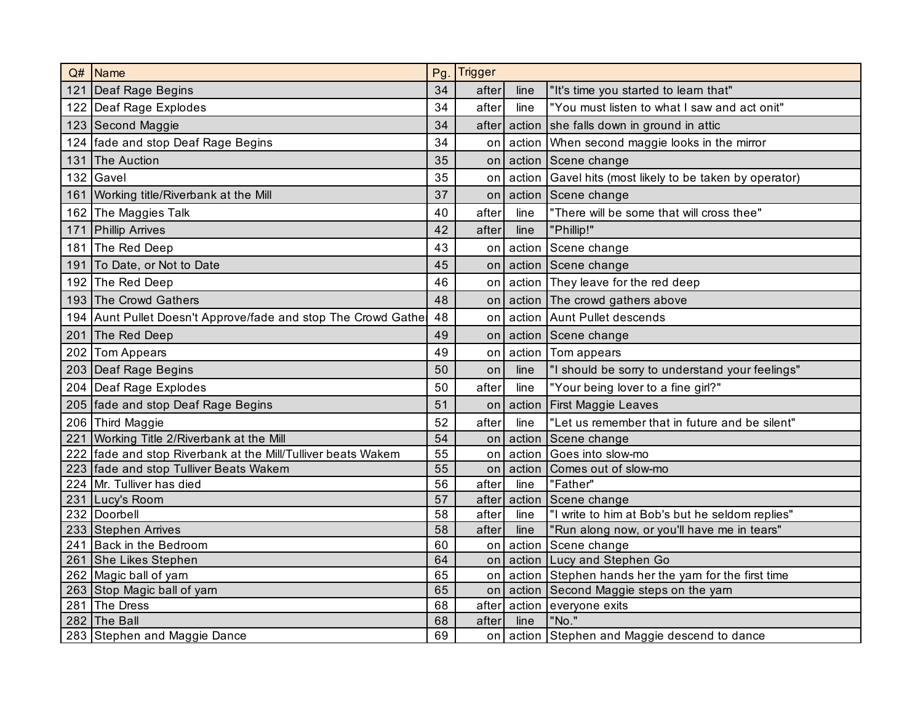| Q#  | <b>Name</b>                                                   | Pg | <b>Trigger</b> |              |                                                  |  |  |
|-----|---------------------------------------------------------------|----|----------------|--------------|--------------------------------------------------|--|--|
|     | 121 Deaf Rage Begins                                          | 34 | after          | line         | "It's time you started to learn that"            |  |  |
|     | 122 Deaf Rage Explodes                                        | 34 | after          | line         | "You must listen to what I saw and act onit"     |  |  |
|     | 123 Second Maggie                                             | 34 | after          | action       | she falls down in ground in attic                |  |  |
|     | 124 fade and stop Deaf Rage Begins                            | 34 | on             | action       | When second maggie looks in the mirror           |  |  |
| 131 | The Auction                                                   | 35 | on             | action       | Scene change                                     |  |  |
|     | 132 Gavel                                                     | 35 | on             | action       | Gavel hits (most likely to be taken by operator) |  |  |
|     | 161 Working title/Riverbank at the Mill                       | 37 | on             | action       | Scene change                                     |  |  |
|     | 162 The Maggies Talk                                          | 40 | after          | line         | "There will be some that will cross thee"        |  |  |
|     | 171 Phillip Arrives                                           | 42 | after          | line         | "Phillip!"                                       |  |  |
|     | 181 The Red Deep                                              | 43 | on             | action       | Scene change                                     |  |  |
| 191 | To Date, or Not to Date                                       | 45 | on             | action       | Scene change                                     |  |  |
|     | 192 The Red Deep                                              | 46 | on             | action       | They leave for the red deep                      |  |  |
|     | 193 The Crowd Gathers                                         | 48 | on             | action       | The crowd gathers above                          |  |  |
|     | 194 Aunt Pullet Doesn't Approve/fade and stop The Crowd Gathe | 48 | on             |              | action Aunt Pullet descends                      |  |  |
|     | 201 The Red Deep                                              | 49 | on             | action       | Scene change                                     |  |  |
|     | 202 Tom Appears                                               | 49 | on             | action       | Tom appears                                      |  |  |
|     | 203 Deaf Rage Begins                                          | 50 | on             | line         | "I should be sorry to understand your feelings"  |  |  |
|     | 204 Deaf Rage Explodes                                        | 50 | after          | line         | "Your being lover to a fine girl?"               |  |  |
|     | 205 fade and stop Deaf Rage Begins                            | 51 | on             | action       | <b>First Maggie Leaves</b>                       |  |  |
|     | 206 Third Maggie                                              | 52 | after          | line         | "Let us remember that in future and be silent"   |  |  |
|     | 221 Working Title 2/Riverbank at the Mill                     | 54 | on             | action       | Scene change                                     |  |  |
|     | 222 fade and stop Riverbank at the Mill/Tulliver beats Wakem  | 55 | on             | action       | Goes into slow-mo                                |  |  |
|     | 223 fade and stop Tulliver Beats Wakem                        | 55 | on             | action       | Comes out of slow-mo                             |  |  |
|     | 224 Mr. Tulliver has died                                     | 56 | after          | line         | "Father"                                         |  |  |
|     | 231 Lucy's Room                                               | 57 |                | after action | Scene change                                     |  |  |
|     | 232 Doorbell                                                  | 58 | after          | line         | "I write to him at Bob's but he seldom replies"  |  |  |
|     | 233 Stephen Arrives                                           | 58 | after          | line         | "Run along now, or you'll have me in tears"      |  |  |
|     | 241 Back in the Bedroom                                       | 60 | on             | action       | Scene change                                     |  |  |
|     | 261 She Likes Stephen                                         | 64 | on             | action       | Lucy and Stephen Go                              |  |  |
|     | 262 Magic ball of yarn                                        | 65 | on             | action       | Stephen hands her the yarn for the first time    |  |  |
|     | 263 Stop Magic ball of yarn                                   | 65 | on             | action       | Second Maggie steps on the yarn                  |  |  |
|     | 281 The Dress                                                 | 68 | after          | action       | everyone exits                                   |  |  |
|     | 282 The Ball                                                  | 68 | after          | line         | "No."                                            |  |  |
|     | 283 Stephen and Maggie Dance                                  | 69 |                |              | on action Stephen and Maggie descend to dance    |  |  |